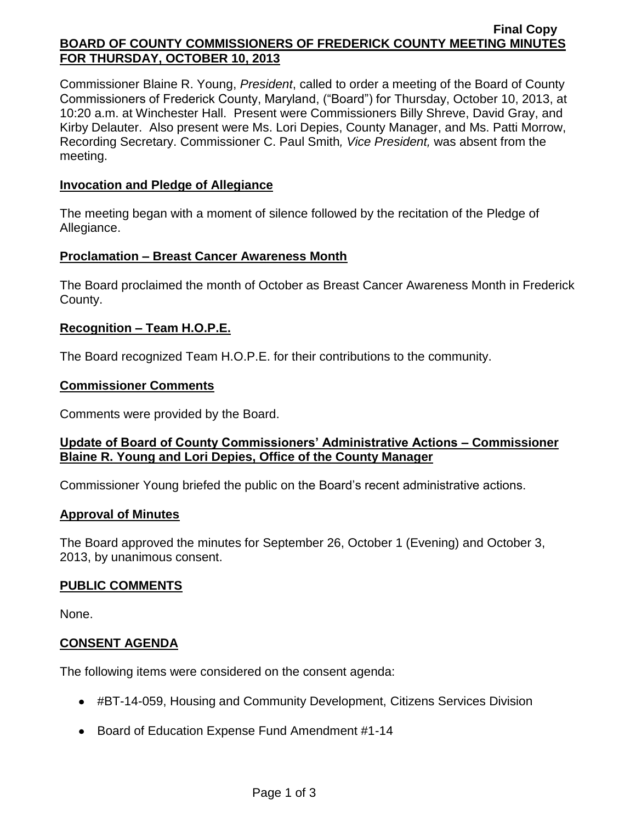#### **Final Copy BOARD OF COUNTY COMMISSIONERS OF FREDERICK COUNTY MEETING MINUTES FOR THURSDAY, OCTOBER 10, 2013**

Commissioner Blaine R. Young, *President*, called to order a meeting of the Board of County Commissioners of Frederick County, Maryland, ("Board") for Thursday, October 10, 2013, at 10:20 a.m. at Winchester Hall. Present were Commissioners Billy Shreve, David Gray, and Kirby Delauter. Also present were Ms. Lori Depies, County Manager, and Ms. Patti Morrow, Recording Secretary. Commissioner C. Paul Smith*, Vice President,* was absent from the meeting.

#### **Invocation and Pledge of Allegiance**

The meeting began with a moment of silence followed by the recitation of the Pledge of Allegiance.

## **Proclamation – Breast Cancer Awareness Month**

The Board proclaimed the month of October as Breast Cancer Awareness Month in Frederick County.

## **Recognition – Team H.O.P.E.**

The Board recognized Team H.O.P.E. for their contributions to the community.

#### **Commissioner Comments**

Comments were provided by the Board.

## **Update of Board of County Commissioners' Administrative Actions – Commissioner Blaine R. Young and Lori Depies, Office of the County Manager**

Commissioner Young briefed the public on the Board's recent administrative actions.

#### **Approval of Minutes**

The Board approved the minutes for September 26, October 1 (Evening) and October 3, 2013, by unanimous consent.

## **PUBLIC COMMENTS**

None.

#### **CONSENT AGENDA**

The following items were considered on the consent agenda:

- #BT-14-059, Housing and Community Development, Citizens Services Division
- Board of Education Expense Fund Amendment #1-14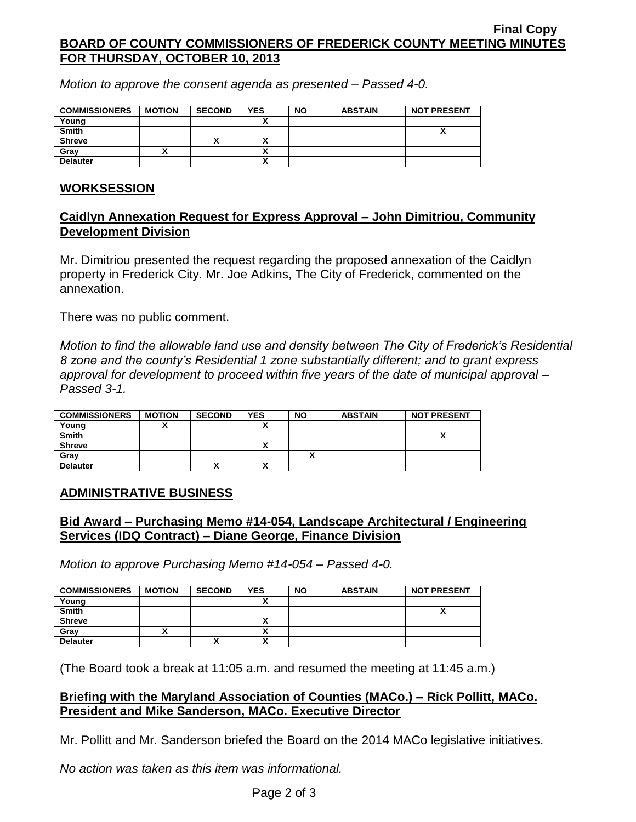#### **Final Copy BOARD OF COUNTY COMMISSIONERS OF FREDERICK COUNTY MEETING MINUTES FOR THURSDAY, OCTOBER 10, 2013**

*Motion to approve the consent agenda as presented – Passed 4-0.*

| <b>COMMISSIONERS</b> | <b>MOTION</b> | <b>SECOND</b> | <b>YES</b>   | <b>NO</b> | <b>ABSTAIN</b> | <b>NOT PRESENT</b> |
|----------------------|---------------|---------------|--------------|-----------|----------------|--------------------|
| Young                |               |               |              |           |                |                    |
| <b>Smith</b>         |               |               |              |           |                | Λ                  |
| <b>Shreve</b>        |               | Λ             |              |           |                |                    |
| Gray                 |               |               | $\mathbf{v}$ |           |                |                    |
| <b>Delauter</b>      |               |               | $\mathbf{v}$ |           |                |                    |

## **WORKSESSION**

## **Caidlyn Annexation Request for Express Approval – John Dimitriou, Community Development Division**

Mr. Dimitriou presented the request regarding the proposed annexation of the Caidlyn property in Frederick City. Mr. Joe Adkins, The City of Frederick, commented on the annexation.

There was no public comment.

*Motion to find the allowable land use and density between The City of Frederick's Residential 8 zone and the county's Residential 1 zone substantially different; and to grant express approval for development to proceed within five years of the date of municipal approval – Passed 3-1.*

| <b>COMMISSIONERS</b> | <b>MOTION</b> | <b>SECOND</b> | <b>YES</b> | <b>NO</b> | <b>ABSTAIN</b> | <b>NOT PRESENT</b> |
|----------------------|---------------|---------------|------------|-----------|----------------|--------------------|
| Young                |               |               |            |           |                |                    |
| <b>Smith</b>         |               |               |            |           |                | ,,                 |
| <b>Shreve</b>        |               |               |            |           |                |                    |
| Gray                 |               |               |            |           |                |                    |
| <b>Delauter</b>      |               |               |            |           |                |                    |

## **ADMINISTRATIVE BUSINESS**

## **Bid Award – Purchasing Memo #14-054, Landscape Architectural / Engineering Services (IDQ Contract) – Diane George, Finance Division**

*Motion to approve Purchasing Memo #14-054 – Passed 4-0.*

| <b>COMMISSIONERS</b> | <b>MOTION</b> | <b>SECOND</b> | <b>YES</b> | <b>NO</b> | <b>ABSTAIN</b> | <b>NOT PRESENT</b> |
|----------------------|---------------|---------------|------------|-----------|----------------|--------------------|
| Young                |               |               |            |           |                |                    |
| <b>Smith</b>         |               |               |            |           |                | ~                  |
| <b>Shreve</b>        |               |               |            |           |                |                    |
| Grav                 |               |               |            |           |                |                    |
| <b>Delauter</b>      |               |               |            |           |                |                    |

(The Board took a break at 11:05 a.m. and resumed the meeting at 11:45 a.m.)

## **Briefing with the Maryland Association of Counties (MACo.) – Rick Pollitt, MACo. President and Mike Sanderson, MACo. Executive Director**

Mr. Pollitt and Mr. Sanderson briefed the Board on the 2014 MACo legislative initiatives.

*No action was taken as this item was informational.*